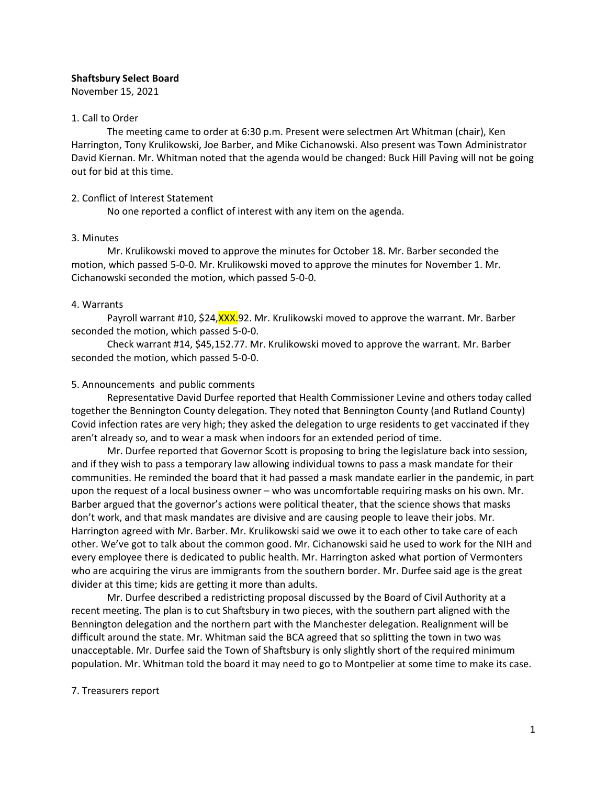### **Shaftsbury Select Board**

November 15, 2021

#### 1. Call to Order

The meeting came to order at 6:30 p.m. Present were selectmen Art Whitman (chair), Ken Harrington, Tony Krulikowski, Joe Barber, and Mike Cichanowski. Also present was Town Administrator David Kiernan. Mr. Whitman noted that the agenda would be changed: Buck Hill Paving will not be going out for bid at this time.

### 2. Conflict of Interest Statement

No one reported a conflict of interest with any item on the agenda.

### 3. Minutes

Mr. Krulikowski moved to approve the minutes for October 18. Mr. Barber seconded the motion, which passed 5-0-0. Mr. Krulikowski moved to approve the minutes for November 1. Mr. Cichanowski seconded the motion, which passed 5-0-0.

### 4. Warrants

Payroll warrant #10, \$24, XXX.92. Mr. Krulikowski moved to approve the warrant. Mr. Barber seconded the motion, which passed 5-0-0.

Check warrant #14, \$45,152.77. Mr. Krulikowski moved to approve the warrant. Mr. Barber seconded the motion, which passed 5-0-0.

### 5. Announcements and public comments

Representative David Durfee reported that Health Commissioner Levine and others today called together the Bennington County delegation. They noted that Bennington County (and Rutland County) Covid infection rates are very high; they asked the delegation to urge residents to get vaccinated if they aren't already so, and to wear a mask when indoors for an extended period of time.

Mr. Durfee reported that Governor Scott is proposing to bring the legislature back into session, and if they wish to pass a temporary law allowing individual towns to pass a mask mandate for their communities. He reminded the board that it had passed a mask mandate earlier in the pandemic, in part upon the request of a local business owner – who was uncomfortable requiring masks on his own. Mr. Barber argued that the governor's actions were political theater, that the science shows that masks don't work, and that mask mandates are divisive and are causing people to leave their jobs. Mr. Harrington agreed with Mr. Barber. Mr. Krulikowski said we owe it to each other to take care of each other. We've got to talk about the common good. Mr. Cichanowski said he used to work for the NIH and every employee there is dedicated to public health. Mr. Harrington asked what portion of Vermonters who are acquiring the virus are immigrants from the southern border. Mr. Durfee said age is the great divider at this time; kids are getting it more than adults.

Mr. Durfee described a redistricting proposal discussed by the Board of Civil Authority at a recent meeting. The plan is to cut Shaftsbury in two pieces, with the southern part aligned with the Bennington delegation and the northern part with the Manchester delegation. Realignment will be difficult around the state. Mr. Whitman said the BCA agreed that so splitting the town in two was unacceptable. Mr. Durfee said the Town of Shaftsbury is only slightly short of the required minimum population. Mr. Whitman told the board it may need to go to Montpelier at some time to make its case.

### 7. Treasurers report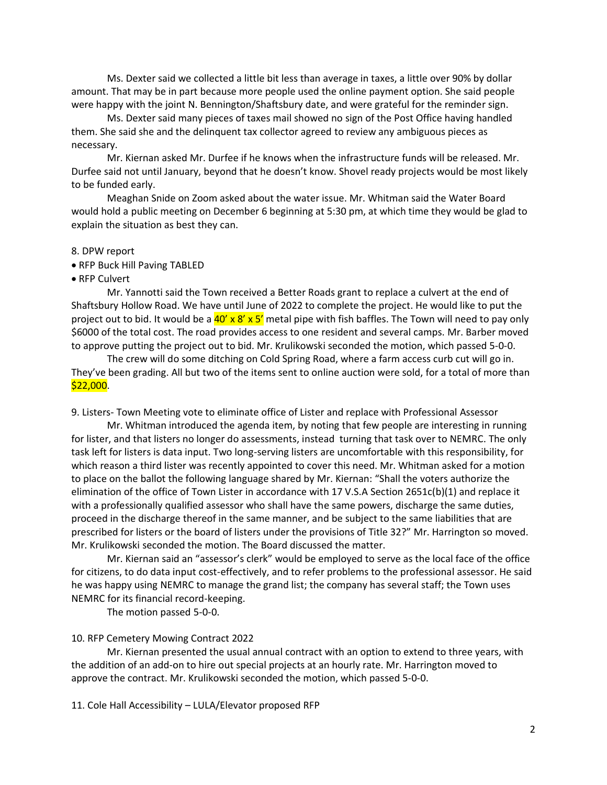Ms. Dexter said we collected a little bit less than average in taxes, a little over 90% by dollar amount. That may be in part because more people used the online payment option. She said people were happy with the joint N. Bennington/Shaftsbury date, and were grateful for the reminder sign.

Ms. Dexter said many pieces of taxes mail showed no sign of the Post Office having handled them. She said she and the delinquent tax collector agreed to review any ambiguous pieces as necessary.

Mr. Kiernan asked Mr. Durfee if he knows when the infrastructure funds will be released. Mr. Durfee said not until January, beyond that he doesn't know. Shovel ready projects would be most likely to be funded early.

Meaghan Snide on Zoom asked about the water issue. Mr. Whitman said the Water Board would hold a public meeting on December 6 beginning at 5:30 pm, at which time they would be glad to explain the situation as best they can.

#### 8. DPW report

• RFP Buck Hill Paving TABLED

• RFP Culvert

Mr. Yannotti said the Town received a Better Roads grant to replace a culvert at the end of Shaftsbury Hollow Road. We have until June of 2022 to complete the project. He would like to put the project out to bid. It would be a  $40'$  x 8' x 5' metal pipe with fish baffles. The Town will need to pay only \$6000 of the total cost. The road provides access to one resident and several camps. Mr. Barber moved to approve putting the project out to bid. Mr. Krulikowski seconded the motion, which passed 5-0-0.

The crew will do some ditching on Cold Spring Road, where a farm access curb cut will go in. They've been grading. All but two of the items sent to online auction were sold, for a total of more than \$22,000.

9. Listers- Town Meeting vote to eliminate office of Lister and replace with Professional Assessor

Mr. Whitman introduced the agenda item, by noting that few people are interesting in running for lister, and that listers no longer do assessments, instead turning that task over to NEMRC. The only task left for listers is data input. Two long-serving listers are uncomfortable with this responsibility, for which reason a third lister was recently appointed to cover this need. Mr. Whitman asked for a motion to place on the ballot the following language shared by Mr. Kiernan: "Shall the voters authorize the elimination of the office of Town Lister in accordance with 17 V.S.A Section 2651c(b)(1) and replace it with a professionally qualified assessor who shall have the same powers, discharge the same duties, proceed in the discharge thereof in the same manner, and be subject to the same liabilities that are prescribed for listers or the board of listers under the provisions of Title 32?" Mr. Harrington so moved. Mr. Krulikowski seconded the motion. The Board discussed the matter.

Mr. Kiernan said an "assessor's clerk" would be employed to serve as the local face of the office for citizens, to do data input cost-effectively, and to refer problems to the professional assessor. He said he was happy using NEMRC to manage the grand list; the company has several staff; the Town uses NEMRC for its financial record-keeping.

The motion passed 5-0-0.

### 10. RFP Cemetery Mowing Contract 2022

Mr. Kiernan presented the usual annual contract with an option to extend to three years, with the addition of an add-on to hire out special projects at an hourly rate. Mr. Harrington moved to approve the contract. Mr. Krulikowski seconded the motion, which passed 5-0-0.

11. Cole Hall Accessibility – LULA/Elevator proposed RFP